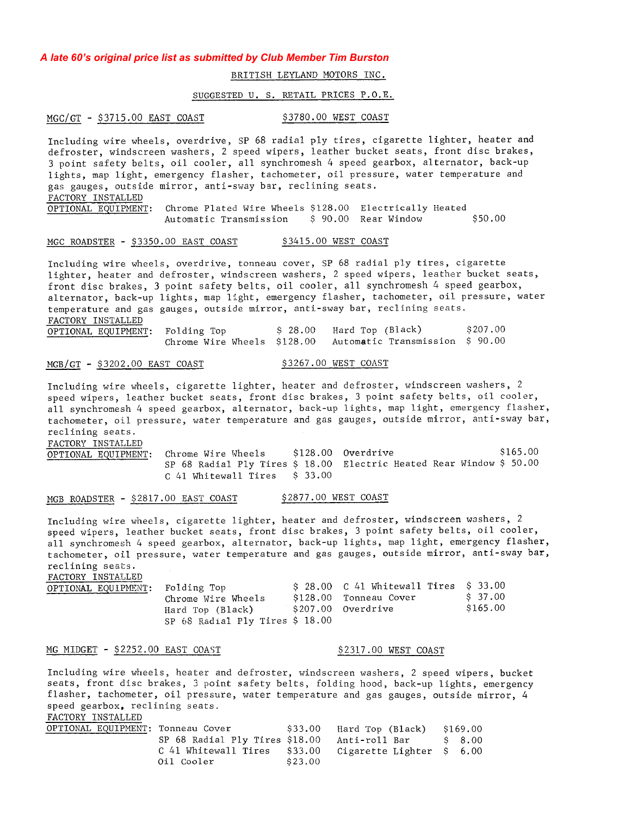# A late 60's original price list as submitted by Club Member Tim Burston

# BRITISH LEYLAND MOTORS INC.

### SUGGESTED U. S. RETAIL PRICES P.O.E.

MGC/GT - \$3715.00 EAST COAST \$3780.00 WEST COAST

Including wire wheels, overdrive, SP 68 radial ply tires, cigarette lighter, heater and defroster, windscreen washers, 2 speed wipers, leather bucket seats, front disc brakes, 3 point safety belts, oil cooler, all synchromesh 4 speed gearbox, alternator, back-up lights, map light, emergency flasher, tachometer, oil pressure, water temperature and gas gauges, outside mirror, anti-sway bar, reclining seats. FACTORY INSTALLED OPTIONAL EQUIPMENT: Chrome Plated Wire Wheels \$128.00 Electrically Heated \$ 90.00 Rear Window \$50.00 Automatic Transmission

#### \$3415.00 WEST COAST MGC ROADSTER - \$3350.00 EAST COAST

Including wire wheels, overdrive, tonneau cover, SP 68 radial ply tires, cigarette lighter, heater and defroster, windscreen washers, 2 speed wipers, leather bucket seats, front disc brakes, 3 point safety belts, oil cooler, all synchromesh 4 speed gearbox, alternator, back-up lights, map light, emergency flasher, tachometer, oil pressure, water temperature and gas gauges, outside mirror, anti-sway bar, reclining seats. FACTORY INSTALLED  $\overline{a}$   $\overline{a}$   $\overline{a}$  $20.5 - 1.3$  $0.2220$ 

| OPTIONAL EQUIPMENT: Folding Top |  | S 28.00 Hard Top (Black)                                   | 5207.00 |
|---------------------------------|--|------------------------------------------------------------|---------|
|                                 |  | Chrome Wire Wheels \$128.00 Automatic Transmission \$90.00 |         |

## $MGB/GT - $3202.00$  EAST COAST

\$3267.00 WEST COAST

Including wire wheels, cigarette lighter, heater and defroster, windscreen washers, 2 speed wipers, leather bucket seats, front disc brakes, 3 point safety belts, oil cooler, all synchromesh 4 speed gearbox, alternator, back-up lights, map light, emergency flasher, tachometer, oil pressure, water temperature and gas gauges, outside mirror, anti-sway bar, reclining seats.

FACTORY INSTALLED

\$128.00 Overdrive \$165.00 Chrome Wire Wheels OPTIONAL EQUIPMENT: SP 68 Radial Ply Tires \$ 18.00 Electric Heated Rear Window \$ 50.00  $C$  41 Whitewall Tires  $$33.00$ 

#### \$2877.00 WEST COAST MGB ROADSTER - \$2817.00 EAST COAST

Including wire wheels, cigarette lighter, heater and defroster, windscreen washers, 2 speed wipers, leather bucket seats, front disc brakes, 3 point safety belts, oil cooler, all synchromesh 4 speed gearbox, alternator, back-up lights, map light, emergency flasher, tachometer, oil pressure, water temperature and gas gauges, outside mirror, anti-sway bar, reclining seats.

FACTORY INSTALLED

| OPTIONAL EQUIPMENT: Folding Top |                                 | $\lesssim$ 28.00 $\,$ C 41 Whitewall Tires $\,$ $\lesssim$ 33.00 |          |
|---------------------------------|---------------------------------|------------------------------------------------------------------|----------|
|                                 | Chrome Wire Wheels              | \$128.00 Tonneau Cover                                           | \$ 37.00 |
|                                 | Hard Top (Black)                | \$207.00 Overdrive                                               | \$165.00 |
|                                 | SP 68 Radial Ply Tires \$ 18.00 |                                                                  |          |

#### MG MIDGET - \$2252.00 EAST COAST

Including wire wheels, heater and defroster, windscreen washers, 2 speed wipers, bucket seats, front disc brakes, 3 point safety belts, folding hood, back-up lights, emergency flasher, tachometer, oil pressure, water temperature and gas gauges, outside mirror, 4 speed gearbox, reclining seats.

\$2317.00 WEST COAST

FACTORY INSTALLED

| OPTIONAL EQUIPMENT: Tonneau Cover |                                                        |         | \$33.00 Hard Top (Black) \$169.00 |        |
|-----------------------------------|--------------------------------------------------------|---------|-----------------------------------|--------|
|                                   | SP 68 Radial Ply Tires \$18.00 Anti-roll Bar           |         |                                   | S 8.00 |
|                                   | C 41 Whitewall Tires \$33.00 Cigarette Lighter \$ 6.00 |         |                                   |        |
|                                   | Oil Cooler                                             | \$23.00 |                                   |        |